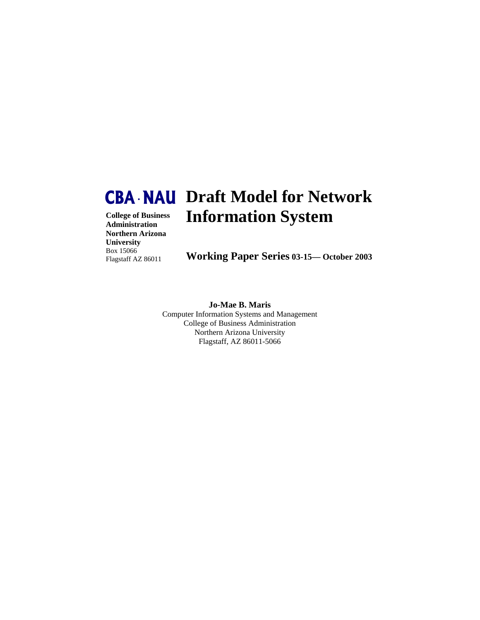# **College of Business Draft Model for Network CBA • NAU Information System**

**Administration Northern Arizona University** Box 15066 Flagstaff AZ 86011

**Working Paper Series 03-15— October 2003**

**Jo-Mae B. Maris**  Computer Information Systems and Management College of Business Administration Northern Arizona University Flagstaff, AZ 86011-5066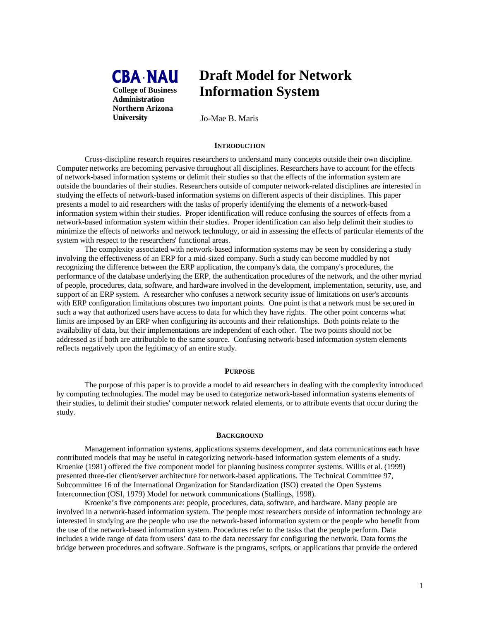

# **Draft Model for Network Information System**

Jo-Mae B. Maris

#### **INTRODUCTION**

 Cross-discipline research requires researchers to understand many concepts outside their own discipline. Computer networks are becoming pervasive throughout all disciplines. Researchers have to account for the effects of network-based information systems or delimit their studies so that the effects of the information system are outside the boundaries of their studies. Researchers outside of computer network-related disciplines are interested in studying the effects of network-based information systems on different aspects of their disciplines. This paper presents a model to aid researchers with the tasks of properly identifying the elements of a network-based information system within their studies. Proper identification will reduce confusing the sources of effects from a network-based information system within their studies. Proper identification can also help delimit their studies to minimize the effects of networks and network technology, or aid in assessing the effects of particular elements of the system with respect to the researchers' functional areas.

 The complexity associated with network-based information systems may be seen by considering a study involving the effectiveness of an ERP for a mid-sized company. Such a study can become muddled by not recognizing the difference between the ERP application, the company's data, the company's procedures, the performance of the database underlying the ERP, the authentication procedures of the network, and the other myriad of people, procedures, data, software, and hardware involved in the development, implementation, security, use, and support of an ERP system. A researcher who confuses a network security issue of limitations on user's accounts with ERP configuration limitations obscures two important points. One point is that a network must be secured in such a way that authorized users have access to data for which they have rights. The other point concerns what limits are imposed by an ERP when configuring its accounts and their relationships. Both points relate to the availability of data, but their implementations are independent of each other. The two points should not be addressed as if both are attributable to the same source. Confusing network-based information system elements reflects negatively upon the legitimacy of an entire study.

#### **PURPOSE**

 The purpose of this paper is to provide a model to aid researchers in dealing with the complexity introduced by computing technologies. The model may be used to categorize network-based information systems elements of their studies, to delimit their studies' computer network related elements, or to attribute events that occur during the study.

#### **BACKGROUND**

 Management information systems, applications systems development, and data communications each have contributed models that may be useful in categorizing network-based information system elements of a study. Kroenke (1981) offered the five component model for planning business computer systems. Willis et al. (1999) presented three-tier client/server architecture for network-based applications. The Technical Committee 97, Subcommittee 16 of the International Organization for Standardization (ISO) created the Open Systems Interconnection (OSI, 1979) Model for network communications (Stallings, 1998).

 Kroenke's five components are: people, procedures, data, software, and hardware. Many people are involved in a network-based information system. The people most researchers outside of information technology are interested in studying are the people who use the network-based information system or the people who benefit from the use of the network-based information system. Procedures refer to the tasks that the people perform. Data includes a wide range of data from users' data to the data necessary for configuring the network. Data forms the bridge between procedures and software. Software is the programs, scripts, or applications that provide the ordered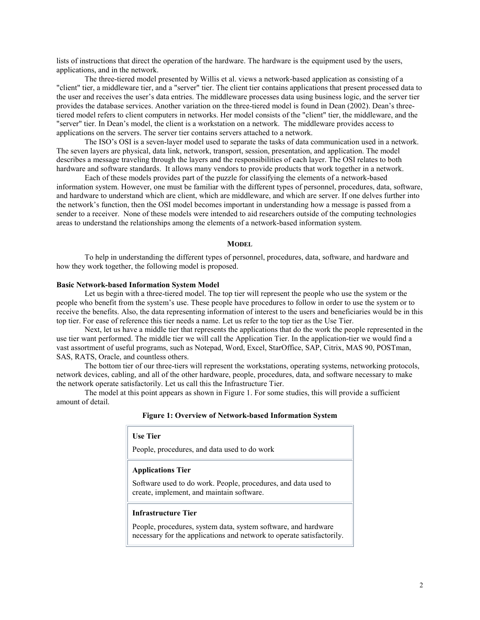lists of instructions that direct the operation of the hardware. The hardware is the equipment used by the users, applications, and in the network.

The three-tiered model presented by Willis et al. views a network-based application as consisting of a "client" tier, a middleware tier, and a "server" tier. The client tier contains applications that present processed data to the user and receives the user's data entries. The middleware processes data using business logic, and the server tier provides the database services. Another variation on the three-tiered model is found in Dean (2002). Dean's threetiered model refers to client computers in networks. Her model consists of the "client" tier, the middleware, and the "server" tier. In Dean's model, the client is a workstation on a network. The middleware provides access to applications on the servers. The server tier contains servers attached to a network.

The ISO's OSI is a seven-layer model used to separate the tasks of data communication used in a network. The seven layers are physical, data link, network, transport, session, presentation, and application. The model describes a message traveling through the layers and the responsibilities of each layer. The OSI relates to both hardware and software standards. It allows many vendors to provide products that work together in a network.

Each of these models provides part of the puzzle for classifying the elements of a network-based information system. However, one must be familiar with the different types of personnel, procedures, data, software, and hardware to understand which are client, which are middleware, and which are server. If one delves further into the network's function, then the OSI model becomes important in understanding how a message is passed from a sender to a receiver. None of these models were intended to aid researchers outside of the computing technologies areas to understand the relationships among the elements of a network-based information system.

#### **MODEL**

To help in understanding the different types of personnel, procedures, data, software, and hardware and how they work together, the following model is proposed.

#### **Basic Network-based Information System Model**

Let us begin with a three-tiered model. The top tier will represent the people who use the system or the people who benefit from the system's use. These people have procedures to follow in order to use the system or to receive the benefits. Also, the data representing information of interest to the users and beneficiaries would be in this top tier. For ease of reference this tier needs a name. Let us refer to the top tier as the Use Tier.

Next, let us have a middle tier that represents the applications that do the work the people represented in the use tier want performed. The middle tier we will call the Application Tier. In the application-tier we would find a vast assortment of useful programs, such as Notepad, Word, Excel, StarOffice, SAP, Citrix, MAS 90, POSTman, SAS, RATS, Oracle, and countless others.

The bottom tier of our three-tiers will represent the workstations, operating systems, networking protocols, network devices, cabling, and all of the other hardware, people, procedures, data, and software necessary to make the network operate satisfactorily. Let us call this the Infrastructure Tier.

The model at this point appears as shown in Figure 1. For some studies, this will provide a sufficient amount of detail.

| Figure 1: Overview of Network-based Information System |  |
|--------------------------------------------------------|--|
|--------------------------------------------------------|--|

| <b>Use Tier</b>                                                                                                                         |  |
|-----------------------------------------------------------------------------------------------------------------------------------------|--|
| People, procedures, and data used to do work                                                                                            |  |
| <b>Applications Tier</b>                                                                                                                |  |
| Software used to do work. People, procedures, and data used to<br>create, implement, and maintain software.                             |  |
| Infrastructure Tier                                                                                                                     |  |
| People, procedures, system data, system software, and hardware<br>necessary for the applications and network to operate satisfactorily. |  |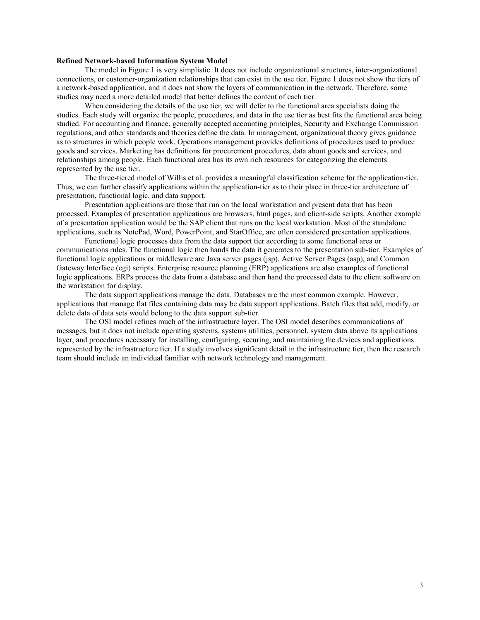#### **Refined Network-based Information System Model**

The model in Figure 1 is very simplistic. It does not include organizational structures, inter-organizational connections, or customer-organization relationships that can exist in the use tier. Figure 1 does not show the tiers of a network-based application, and it does not show the layers of communication in the network. Therefore, some studies may need a more detailed model that better defines the content of each tier.

When considering the details of the use tier, we will defer to the functional area specialists doing the studies. Each study will organize the people, procedures, and data in the use tier as best fits the functional area being studied. For accounting and finance, generally accepted accounting principles, Security and Exchange Commission regulations, and other standards and theories define the data. In management, organizational theory gives guidance as to structures in which people work. Operations management provides definitions of procedures used to produce goods and services. Marketing has definitions for procurement procedures, data about goods and services, and relationships among people. Each functional area has its own rich resources for categorizing the elements represented by the use tier.

The three-tiered model of Willis et al. provides a meaningful classification scheme for the application-tier. Thus, we can further classify applications within the application-tier as to their place in three-tier architecture of presentation, functional logic, and data support.

Presentation applications are those that run on the local workstation and present data that has been processed. Examples of presentation applications are browsers, html pages, and client-side scripts. Another example of a presentation application would be the SAP client that runs on the local workstation. Most of the standalone applications, such as NotePad, Word, PowerPoint, and StarOffice, are often considered presentation applications.

Functional logic processes data from the data support tier according to some functional area or communications rules. The functional logic then hands the data it generates to the presentation sub-tier. Examples of functional logic applications or middleware are Java server pages (jsp), Active Server Pages (asp), and Common Gateway Interface (cgi) scripts. Enterprise resource planning (ERP) applications are also examples of functional logic applications. ERPs process the data from a database and then hand the processed data to the client software on the workstation for display.

The data support applications manage the data. Databases are the most common example. However, applications that manage flat files containing data may be data support applications. Batch files that add, modify, or delete data of data sets would belong to the data support sub-tier.

The OSI model refines much of the infrastructure layer. The OSI model describes communications of messages, but it does not include operating systems, systems utilities, personnel, system data above its applications layer, and procedures necessary for installing, configuring, securing, and maintaining the devices and applications represented by the infrastructure tier. If a study involves significant detail in the infrastructure tier, then the research team should include an individual familiar with network technology and management.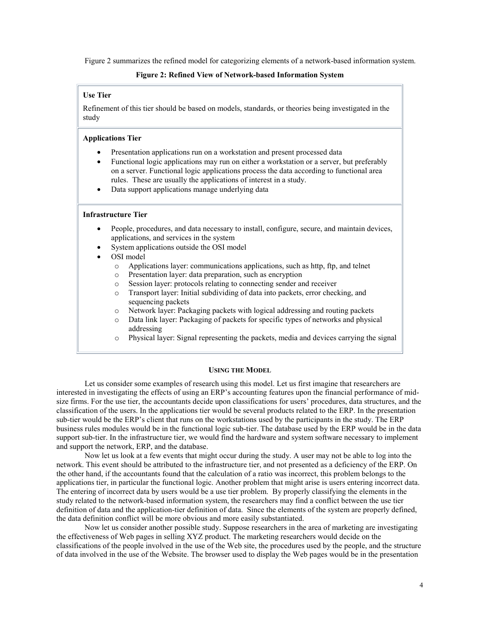Figure 2 summarizes the refined model for categorizing elements of a network-based information system.

## **Figure 2: Refined View of Network-based Information System**

# **Use Tier**

Refinement of this tier should be based on models, standards, or theories being investigated in the study

#### **Applications Tier**

- -Presentation applications run on a workstation and present processed data
- - Functional logic applications may run on either a workstation or a server, but preferably on a server. Functional logic applications process the data according to functional area rules. These are usually the applications of interest in a study.
- $\bullet$ Data support applications manage underlying data

#### **Infrastructure Tier**

- - People, procedures, and data necessary to install, configure, secure, and maintain devices, applications, and services in the system
- -System applications outside the OSI model
- - OSI model
	- o Applications layer: communications applications, such as http, ftp, and telnet
	- o Presentation layer: data preparation, such as encryption
	- o Session layer: protocols relating to connecting sender and receiver
	- o Transport layer: Initial subdividing of data into packets, error checking, and sequencing packets
	- o Network layer: Packaging packets with logical addressing and routing packets
	- Data link layer: Packaging of packets for specific types of networks and physical addressing
	- o Physical layer: Signal representing the packets, media and devices carrying the signal

#### **USING THE MODEL**

Let us consider some examples of research using this model. Let us first imagine that researchers are interested in investigating the effects of using an ERP's accounting features upon the financial performance of midsize firms. For the use tier, the accountants decide upon classifications for users' procedures, data structures, and the classification of the users. In the applications tier would be several products related to the ERP. In the presentation sub-tier would be the ERP's client that runs on the workstations used by the participants in the study. The ERP business rules modules would be in the functional logic sub-tier. The database used by the ERP would be in the data support sub-tier. In the infrastructure tier, we would find the hardware and system software necessary to implement and support the network, ERP, and the database.

Now let us look at a few events that might occur during the study. A user may not be able to log into the network. This event should be attributed to the infrastructure tier, and not presented as a deficiency of the ERP. On the other hand, if the accountants found that the calculation of a ratio was incorrect, this problem belongs to the applications tier, in particular the functional logic. Another problem that might arise is users entering incorrect data. The entering of incorrect data by users would be a use tier problem. By properly classifying the elements in the study related to the network-based information system, the researchers may find a conflict between the use tier definition of data and the application-tier definition of data. Since the elements of the system are properly defined, the data definition conflict will be more obvious and more easily substantiated.

Now let us consider another possible study. Suppose researchers in the area of marketing are investigating the effectiveness of Web pages in selling XYZ product. The marketing researchers would decide on the classifications of the people involved in the use of the Web site, the procedures used by the people, and the structure of data involved in the use of the Website. The browser used to display the Web pages would be in the presentation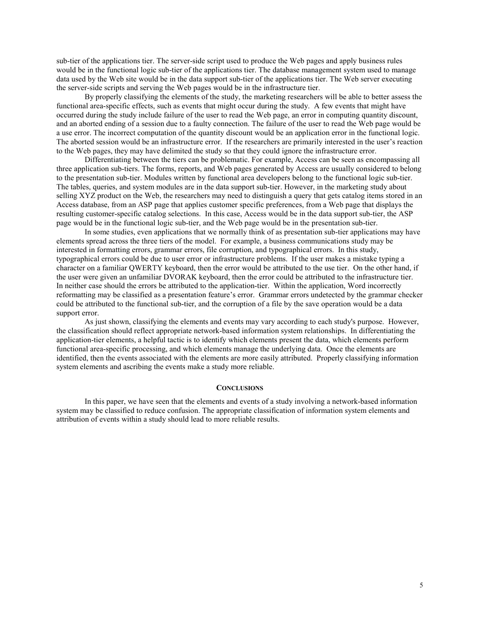sub-tier of the applications tier. The server-side script used to produce the Web pages and apply business rules would be in the functional logic sub-tier of the applications tier. The database management system used to manage data used by the Web site would be in the data support sub-tier of the applications tier. The Web server executing the server-side scripts and serving the Web pages would be in the infrastructure tier.

By properly classifying the elements of the study, the marketing researchers will be able to better assess the functional area-specific effects, such as events that might occur during the study. A few events that might have occurred during the study include failure of the user to read the Web page, an error in computing quantity discount, and an aborted ending of a session due to a faulty connection. The failure of the user to read the Web page would be a use error. The incorrect computation of the quantity discount would be an application error in the functional logic. The aborted session would be an infrastructure error. If the researchers are primarily interested in the user's reaction to the Web pages, they may have delimited the study so that they could ignore the infrastructure error.

Differentiating between the tiers can be problematic. For example, Access can be seen as encompassing all three application sub-tiers. The forms, reports, and Web pages generated by Access are usually considered to belong to the presentation sub-tier. Modules written by functional area developers belong to the functional logic sub-tier. The tables, queries, and system modules are in the data support sub-tier. However, in the marketing study about selling XYZ product on the Web, the researchers may need to distinguish a query that gets catalog items stored in an Access database, from an ASP page that applies customer specific preferences, from a Web page that displays the resulting customer-specific catalog selections. In this case, Access would be in the data support sub-tier, the ASP page would be in the functional logic sub-tier, and the Web page would be in the presentation sub-tier.

In some studies, even applications that we normally think of as presentation sub-tier applications may have elements spread across the three tiers of the model. For example, a business communications study may be interested in formatting errors, grammar errors, file corruption, and typographical errors. In this study, typographical errors could be due to user error or infrastructure problems. If the user makes a mistake typing a character on a familiar QWERTY keyboard, then the error would be attributed to the use tier. On the other hand, if the user were given an unfamiliar DVORAK keyboard, then the error could be attributed to the infrastructure tier. In neither case should the errors be attributed to the application-tier. Within the application, Word incorrectly reformatting may be classified as a presentation feature's error. Grammar errors undetected by the grammar checker could be attributed to the functional sub-tier, and the corruption of a file by the save operation would be a data support error.

As just shown, classifying the elements and events may vary according to each study's purpose. However, the classification should reflect appropriate network-based information system relationships. In differentiating the application-tier elements, a helpful tactic is to identify which elements present the data, which elements perform functional area-specific processing, and which elements manage the underlying data. Once the elements are identified, then the events associated with the elements are more easily attributed. Properly classifying information system elements and ascribing the events make a study more reliable.

# **CONCLUSIONS**

In this paper, we have seen that the elements and events of a study involving a network-based information system may be classified to reduce confusion. The appropriate classification of information system elements and attribution of events within a study should lead to more reliable results.